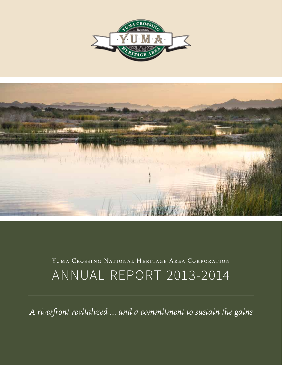



# Yuma Crossing National Heritage Area Corporation ANNUAL REPORT 2013-2014

*A riverfront revitalized … and a commitment to sustain the gains*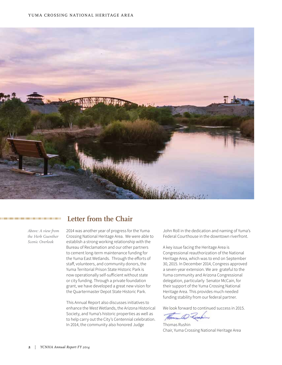

#### 000000000000000000000000000000000000

*Above: A view from the Herb Guenther Scenic Overlook*

## **Letter from the Chair**

2014 was another year of progress for the Yuma Crossing National Heritage Area. We were able to establish a strong working relationship with the Bureau of Reclamation and our other partners to cement long-term maintenance funding for the Yuma East Wetlands. Through the efforts of staff, volunteers, and community donors, the Yuma Territorial Prison State Historic Park is now operationally self-sufficient without state or city funding. Through a private foundation grant, we have developed a great new vision for the Quartermaster Depot State Historic Park.

This Annual Report also discusses initiatives to enhance the West Wetlands, the Arizona Historical Society, and Yuma's historic properties as well as to help carry out the City's Centennial celebration. In 2014, the community also honored Judge

John Roll in the dedication and naming of Yuma's Federal Courthouse in the downtown riverfront.

A key issue facing the Heritage Area is Congressional reauthorization of the National Heritage Area, which was to end on September 30, 2015. In December 2014, Congress approved a seven-year extension. We are grateful to the Yuma community and Arizona Congressional delegation, particularly Senator McCain, for their support of the Yuma Crossing National Heritage Area. This provides much needed funding stability from our federal partner.

We look forward to continued success in 2015.

House D Zerahin

Thomas Rushin Chair, Yuma Crossing National Heritage Area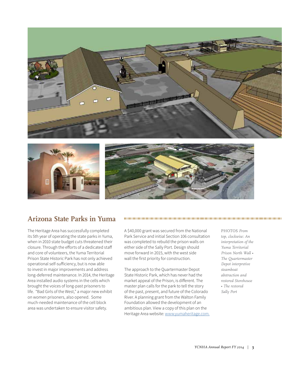





# **Arizona State Parks in Yuma**

The Heritage Area has successfully completed its 5th year of operating the state parks in Yuma, when in 2010 state budget cuts threatened their closure. Through the efforts of a dedicated staff and core of volunteers, the Yuma Territorial Prison State Historic Park has not only achieved operational self-sufficiency, but is now able to invest in major improvements and address long-deferred maintenance. In 2014, the Heritage Area installed audio systems in the cells which brought the voices of long-past prisoners to life. "Bad Girls of the West," a major new exhibit on women prisoners, also opened. Some much-needed maintenance of the cell block area was undertaken to ensure visitor safety.

A \$40,000 grant was secured from the National Park Service and initial Section 106 consultation was completed to rebuild the prison walls on either side of the Sally Port. Design should move forward in 2015, with the west side wall the first priority for construction.

The approach to the Quartermaster Depot State Historic Park, which has never had the market appeal of the Prison, is different. The master plan calls for the park to tell the story of the past, present, and future of the Colorado River. A planning grant from the Walton Family Foundation allowed the development of an ambitious plan. View a copy of this plan on the Heritage Area website: www.yumaheritage.com. PHOTOS *From top, clockwise: An interpretation of the Yuma Territorial Prison North Wall • The Quartermaster Depot interpretive steamboat abstraction and restored Storehouse • The restored Sally Port*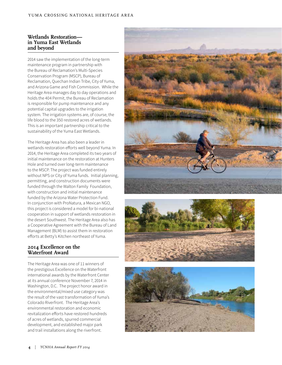#### **Wetlands Restoration in Yuma East Wetlands and beyond**

2014 saw the implementation of the long-term maintenance program in partnership with the Bureau of Reclamation's Multi-Species Conservation Program (MSCP), Bureau of Reclamation, Quechan Indian Tribe, City of Yuma, and Arizona Game and Fish Commission. While the Heritage Area manages day to day operations and holds the 404 Permit, the Bureau of Reclamation is responsible for pump maintenance and any potential capital upgrades to the irrigation system. The irrigation systems are, of course, the life blood to the 350 restored acres of wetlands. This is an important partnership critical to the sustainability of the Yuma East Wetlands.

The Heritage Area has also been a leader in wetlands restoration efforts well beyond Yuma. In 2014, the Heritage Area completed its two years of initial maintenance on the restoration at Hunters Hole and turned over long-term maintenance to the MSCP. The project was funded entirely without NPS or City of Yuma funds. Initial planning, permitting, and construction documents were funded through the Walton Family Foundation, with construction and initial maintenance funded by the Arizona Water Protection Fund. In conjunction with ProNatura, a Mexican NGO, this project is considered a model for bi-national cooperation in support of wetlands restoration in the desert Southwest. The Heritage Area also has a Cooperative Agreement with the Bureau of Land Management (BLM) to assist them in restoration efforts at Betty's Kitchen northeast of Yuma.

### **2014 Excellence on the Waterfront Award**

The Heritage Area was one of 11 winners of the prestigious Excellence on the Waterfront international awards by the Waterfront Center at its annual conference November 7, 2014 in Washington, D.C. The project honor award in the environmental/mixed use category was the result of the vast transformation of Yuma's Colorado Riverfront. The Heritage Area's environmental restoration and economic revitalization efforts have restored hundreds of acres of wetlands, spurred commercial development, and established major park and trail installations along the riverfront.





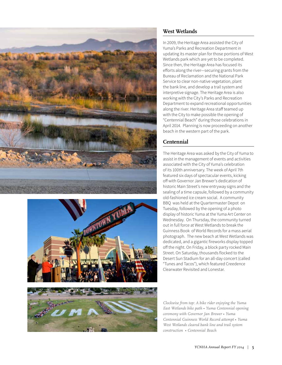





## **West Wetlands**

In 2009, the Heritage Area assisted the City of Yuma's Parks and Recreation Department in updating its master plan for those portions of West Wetlands park which are yet to be completed. Since then, the Heritage Area has focused its efforts along the river—securing grants from the Bureau of Reclamation and the National Park Service to clear non-native vegetation, plant the bank line, and develop a trail system and interpretive signage. The Heritage Area is also working with the City's Parks and Recreation Department to expand recreational opportunities along the river. Heritage Area staff teamed up with the City to make possible the opening of "Centennial Beach" during those celebrations in April 2014. Planning is now proceeding on another beach in the western part of the park.

## **Centennial**

The Heritage Area was asked by the City of Yuma to assist in the management of events and activities associated with the City of Yuma's celebration of its 100th anniversary. The week of April 7th featured six days of spectacular events, kicking off with Governor Jan Brewer's dedication of historic Main Street's new entryway signs and the sealing of a time capsule, followed by a community old-fashioned ice cream social. A community BBQ was held at the Quartermaster Depot on Tuesday, followed by the opening of a photo display of historic Yuma at the Yuma Art Center on Wednesday. On Thursday, the community turned out in full force at West Wetlands to break the Guinness Book of World Records for a mass aerial photograph. The new beach at West Wetlands was dedicated, and a gigantic fireworks display topped off the night. On Friday, a block party rocked Main Street. On Saturday, thousands flocked to the Desert Sun Stadium for an all-day concert (called "Tunes and Tacos"), which featured Creedence Clearwater Revisited and Lonestar.

*Clockwise from top: A bike rider enjoying the Yuma East Wetlands bike path • Yuma Centennial opening ceremony with Governor Jan Brewer • Yuma Centennial Guinness World Record attempt • Yuma West Wetlands cleared bank line and trail system construction • Centennial Beach*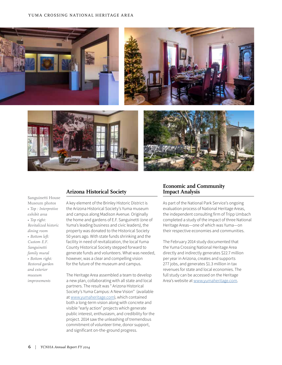

Sanguinetti House Museum photos *• Top : Interpretive exhibit area • Top right: Revitalized historic dining room • Bottom left: Custom E.F. Sanguinetti family mural • Bottom right: Restored garden and exterior museum improvements*

#### **Arizona Historical Society**

A key element of the Brinley Historic District is the Arizona Historical Society's Yuma museum and campus along Madison Avenue. Originally the home and gardens of E.F. Sanguinetti (one of Yuma's leading business and civic leaders), the property was donated to the Historical Society 50 years ago. With state funds shrinking and the facility in need of revitalization, the local Yuma County Historical Society stepped forward to generate funds and volunteers. What was needed, however, was a clear and compelling vision for the future of the museum and campus.

The Heritage Area assembled a team to develop a new plan, collaborating with all state and local partners. The result was " Arizona Historical Society's Yuma Campus: A New Vision" (available at www.yumaheritage.com), which contained both a long-term vision along with concrete and visible "early action" projects which generate public interest, enthusiasm, and credibility for the project. 2014 saw the unleashing of tremendous commitment of volunteer time, donor support, and significant on-the-ground progress.

#### **Economic and Community Impact Analysis**

As part of the National Park Service's ongoing evaluation process of National Heritage Areas, the independent consulting firm of Tripp Umbach completed a study of the impact of three National Heritage Areas—one of which was Yuma—on their respective economies and communities.

The February 2014 study documented that the Yuma Crossing National Heritage Area directly and indirectly generates \$22.7 million per year in Arizona, creates and supports 277 jobs, and generates \$1.3 million in tax revenues for state and local economies. The full study can be accessed on the Heritage Area's website at www.yumaheritage.com.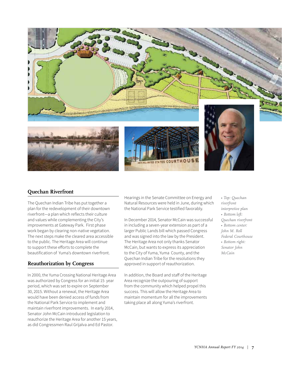

## **Quechan Riverfront**

The Quechan Indian Tribe has put together a plan for the redevelopment of their downtown riverfront—a plan which reflects their culture and values while complementing the City's improvements at Gateway Park. First phase work began by clearing non-native vegetation. The next steps make the cleared area accessible to the public. The Heritage Area will continue to support these efforts to complete the beautification of Yuma's downtown riverfront.

## **Reauthorization by Congress**

In 2000, the Yuma Crossing National Heritage Area was authorized by Congress for an initial 15 year period, which was set to expire on September 30, 2015. Without a renewal, the Heritage Area would have been denied access of funds from the National Park Service to implement and maintain riverfront improvements. In early 2014, Senator John McCain introduced legislation to reauthorize the Heritage Area for another 15 years, as did Congressmen Raul Grijalva and Ed Pastor.

Hearings in the Senate Committee on Energy and Natural Resources were held in June, during which the National Park Service testified favorably.

In December 2014, Senator McCain was successful in including a seven-year extension as part of a larger Public Lands bill which passed Congress and was signed into the law by the President. The Heritage Area not only thanks Senator McCain, but wants to express its appreciation to the City of Yuma, Yuma County, and the Quechan Indian Tribe for the resolutions they approved in support of reauthorization.

In addition, the Board and staff of the Heritage Area recognize the outpouring of support from the community which helped propel this success. This will allow the Heritage Area to maintain momentum for all the improvements taking place all along Yuma's riverfront.

*• Top: Quechan riverfront interpretive plan • Bottom left: Quechan riverfront • Bottom center: John M. Roll Federal Courthouse • Bottom right: Senator John McCain*